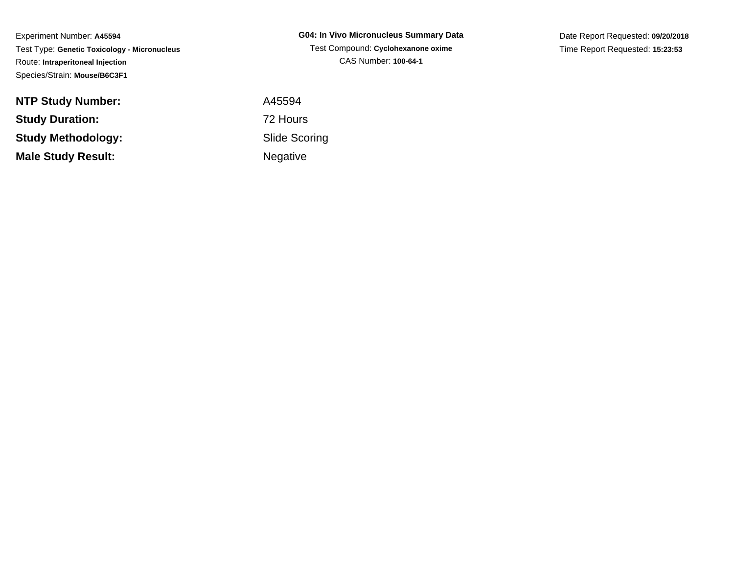Experiment Number: **A45594** Test Type: **Genetic Toxicology - Micronucleus**Route: **Intraperitoneal Injection**Species/Strain: **Mouse/B6C3F1**

**NTP Study Number:Study Duration:Study Methodology:Male Study Result:**

**G04: In Vivo Micronucleus Summary Data**Test Compound: **Cyclohexanone oxime**CAS Number: **100-64-1**

Date Report Requested: **09/20/2018**Time Report Requested: **15:23:53**

 A45594 72 Hours Slide ScoringNegative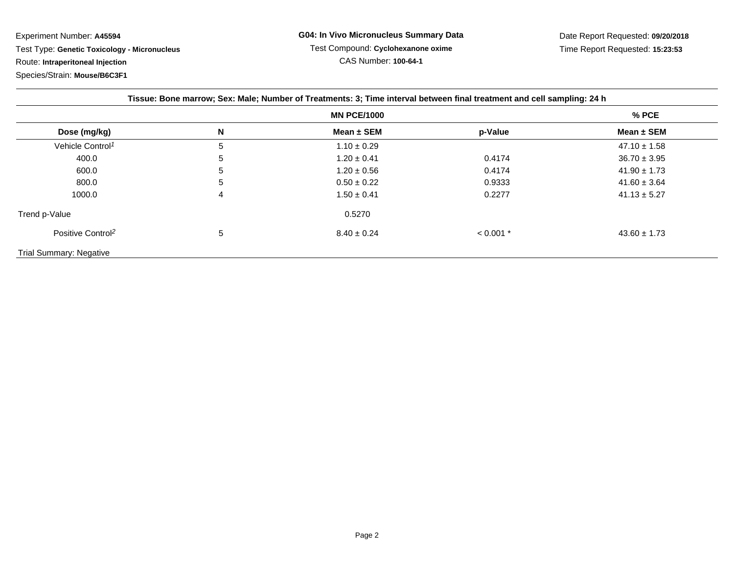Experiment Number: **A45594** Test Type: **Genetic Toxicology - Micronucleus**Route: **Intraperitoneal Injection**

Species/Strain: **Mouse/B6C3F1**

| Tissue: Bone marrow; Sex: Male; Number of Treatments: 3; Time interval between final treatment and cell sampling: 24 h |   |                 |             |                  |
|------------------------------------------------------------------------------------------------------------------------|---|-----------------|-------------|------------------|
| <b>MN PCE/1000</b>                                                                                                     |   |                 |             | $%$ PCE          |
| Dose (mg/kg)                                                                                                           | N | Mean $\pm$ SEM  | p-Value     | Mean $\pm$ SEM   |
| Vehicle Control <sup>1</sup>                                                                                           | 5 | $1.10 \pm 0.29$ |             | $47.10 \pm 1.58$ |
| 400.0                                                                                                                  | 5 | $1.20 \pm 0.41$ | 0.4174      | $36.70 \pm 3.95$ |
| 600.0                                                                                                                  | 5 | $1.20 \pm 0.56$ | 0.4174      | $41.90 \pm 1.73$ |
| 800.0                                                                                                                  | 5 | $0.50 \pm 0.22$ | 0.9333      | $41.60 \pm 3.64$ |
| 1000.0                                                                                                                 | 4 | $1.50 \pm 0.41$ | 0.2277      | $41.13 \pm 5.27$ |
| Trend p-Value                                                                                                          |   | 0.5270          |             |                  |
| Positive Control <sup>2</sup>                                                                                          | 5 | $8.40 \pm 0.24$ | $< 0.001$ * | $43.60 \pm 1.73$ |
| <b>Trial Summary: Negative</b>                                                                                         |   |                 |             |                  |